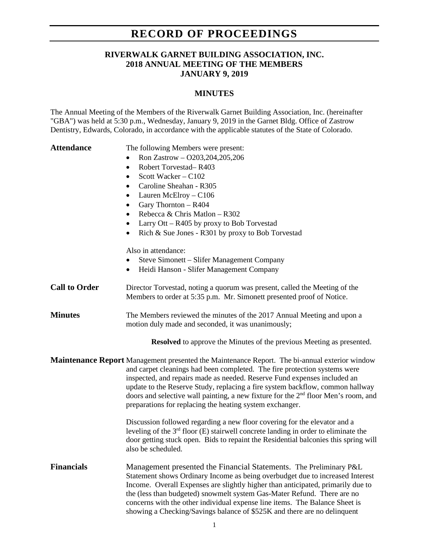## **RECORD OF PROCEEDINGS**

## **RIVERWALK GARNET BUILDING ASSOCIATION, INC. 2018 ANNUAL MEETING OF THE MEMBERS JANUARY 9, 2019**

## **MINUTES**

The Annual Meeting of the Members of the Riverwalk Garnet Building Association, Inc. (hereinafter "GBA") was held at 5:30 p.m., Wednesday, January 9, 2019 in the Garnet Bldg. Office of Zastrow Dentistry, Edwards, Colorado, in accordance with the applicable statutes of the State of Colorado.

• Ron Zastrow – O203, 204, 205, 206

Attendance The following Members were present:

|                      | Robert Torvestad-R403<br>$\bullet$<br>Scott Wacker - C102<br>$\bullet$<br>Caroline Sheahan - R305<br>$\bullet$<br>Lauren McElroy - C106<br>$\bullet$<br>Gary Thornton - R404<br>$\bullet$<br>Rebecca & Chris Matlon - R302<br>$\bullet$<br>Larry Ott $-$ R405 by proxy to Bob Torvestad<br>$\bullet$<br>Rich & Sue Jones - R301 by proxy to Bob Torvestad<br>$\bullet$<br>Also in attendance:<br>Steve Simonett – Slifer Management Company<br>$\bullet$<br>Heidi Hanson - Slifer Management Company<br>$\bullet$ |
|----------------------|-------------------------------------------------------------------------------------------------------------------------------------------------------------------------------------------------------------------------------------------------------------------------------------------------------------------------------------------------------------------------------------------------------------------------------------------------------------------------------------------------------------------|
| <b>Call to Order</b> | Director Torvestad, noting a quorum was present, called the Meeting of the<br>Members to order at 5:35 p.m. Mr. Simonett presented proof of Notice.                                                                                                                                                                                                                                                                                                                                                               |
| <b>Minutes</b>       | The Members reviewed the minutes of the 2017 Annual Meeting and upon a<br>motion duly made and seconded, it was unanimously;                                                                                                                                                                                                                                                                                                                                                                                      |
|                      | <b>Resolved</b> to approve the Minutes of the previous Meeting as presented.                                                                                                                                                                                                                                                                                                                                                                                                                                      |
|                      | <b>Maintenance Report</b> Management presented the Maintenance Report. The bi-annual exterior window<br>and carpet cleanings had been completed. The fire protection systems were<br>inspected, and repairs made as needed. Reserve Fund expenses included an<br>update to the Reserve Study, replacing a fire system backflow, common hallway<br>doors and selective wall painting, a new fixture for the 2 <sup>nd</sup> floor Men's room, and<br>preparations for replacing the heating system exchanger.      |
|                      | Discussion followed regarding a new floor covering for the elevator and a<br>leveling of the $3rd$ floor (E) stairwell concrete landing in order to eliminate the<br>door getting stuck open. Bids to repaint the Residential balconies this spring will<br>also be scheduled.                                                                                                                                                                                                                                    |
| <b>Financials</b>    | Management presented the Financial Statements. The Preliminary P&L<br>Statement shows Ordinary Income as being overbudget due to increased Interest<br>Income. Overall Expenses are slightly higher than anticipated, primarily due to<br>the (less than budgeted) snowmelt system Gas-Mater Refund. There are no<br>concerns with the other individual expense line items. The Balance Sheet is<br>showing a Checking/Savings balance of \$525K and there are no delinquent                                      |